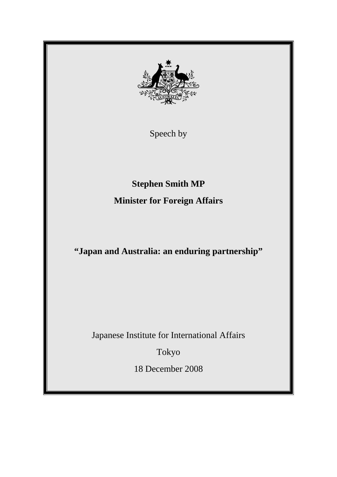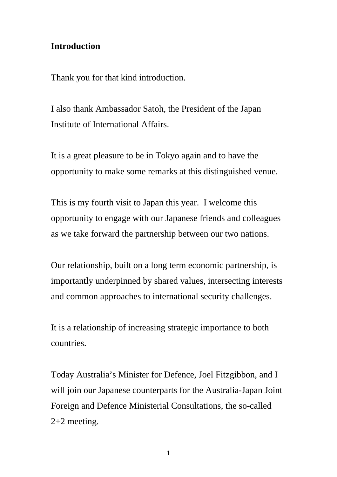### **Introduction**

Thank you for that kind introduction.

I also thank Ambassador Satoh, the President of the Japan Institute of International Affairs.

It is a great pleasure to be in Tokyo again and to have the opportunity to make some remarks at this distinguished venue.

This is my fourth visit to Japan this year. I welcome this opportunity to engage with our Japanese friends and colleagues as we take forward the partnership between our two nations.

Our relationship, built on a long term economic partnership, is importantly underpinned by shared values, intersecting interests and common approaches to international security challenges.

It is a relationship of increasing strategic importance to both countries.

Today Australia's Minister for Defence, Joel Fitzgibbon, and I will join our Japanese counterparts for the Australia-Japan Joint Foreign and Defence Ministerial Consultations, the so-called 2+2 meeting.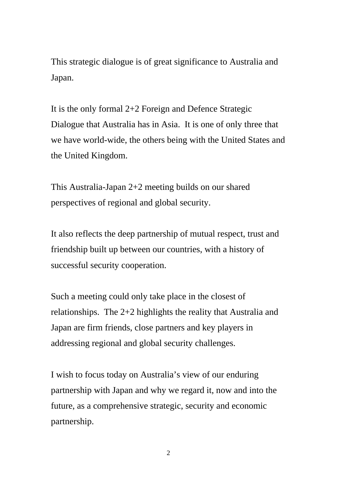This strategic dialogue is of great significance to Australia and Japan.

It is the only formal 2+2 Foreign and Defence Strategic Dialogue that Australia has in Asia. It is one of only three that we have world-wide, the others being with the United States and the United Kingdom.

This Australia-Japan 2+2 meeting builds on our shared perspectives of regional and global security.

It also reflects the deep partnership of mutual respect, trust and friendship built up between our countries, with a history of successful security cooperation.

Such a meeting could only take place in the closest of relationships. The 2+2 highlights the reality that Australia and Japan are firm friends, close partners and key players in addressing regional and global security challenges.

I wish to focus today on Australia's view of our enduring partnership with Japan and why we regard it, now and into the future, as a comprehensive strategic, security and economic partnership.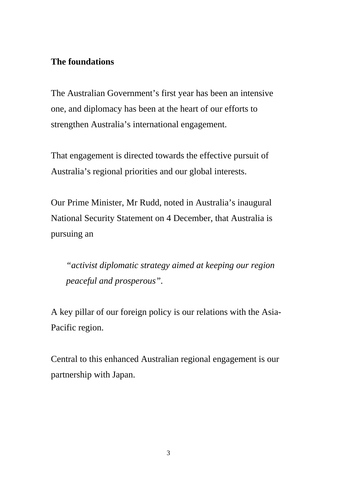## **The foundations**

The Australian Government's first year has been an intensive one, and diplomacy has been at the heart of our efforts to strengthen Australia's international engagement.

That engagement is directed towards the effective pursuit of Australia's regional priorities and our global interests.

Our Prime Minister, Mr Rudd, noted in Australia's inaugural National Security Statement on 4 December, that Australia is pursuing an

*"activist diplomatic strategy aimed at keeping our region peaceful and prosperous".* 

A key pillar of our foreign policy is our relations with the Asia-Pacific region.

Central to this enhanced Australian regional engagement is our partnership with Japan.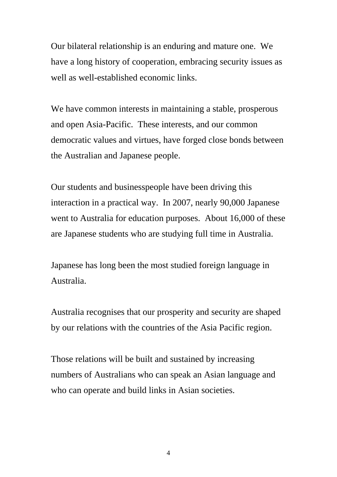Our bilateral relationship is an enduring and mature one. We have a long history of cooperation, embracing security issues as well as well-established economic links.

We have common interests in maintaining a stable, prosperous and open Asia-Pacific. These interests, and our common democratic values and virtues, have forged close bonds between the Australian and Japanese people.

Our students and businesspeople have been driving this interaction in a practical way. In 2007, nearly 90,000 Japanese went to Australia for education purposes. About 16,000 of these are Japanese students who are studying full time in Australia.

Japanese has long been the most studied foreign language in Australia.

Australia recognises that our prosperity and security are shaped by our relations with the countries of the Asia Pacific region.

Those relations will be built and sustained by increasing numbers of Australians who can speak an Asian language and who can operate and build links in Asian societies.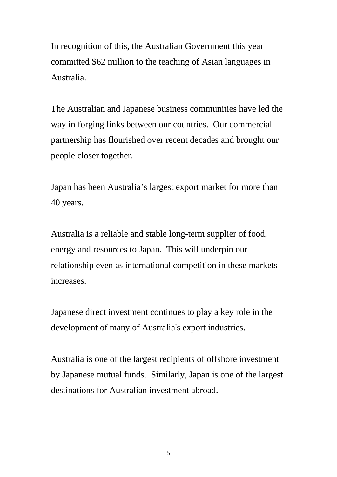In recognition of this, the Australian Government this year committed \$62 million to the teaching of Asian languages in Australia.

The Australian and Japanese business communities have led the way in forging links between our countries. Our commercial partnership has flourished over recent decades and brought our people closer together.

Japan has been Australia's largest export market for more than 40 years.

Australia is a reliable and stable long-term supplier of food, energy and resources to Japan. This will underpin our relationship even as international competition in these markets increases.

Japanese direct investment continues to play a key role in the development of many of Australia's export industries.

Australia is one of the largest recipients of offshore investment by Japanese mutual funds. Similarly, Japan is one of the largest destinations for Australian investment abroad.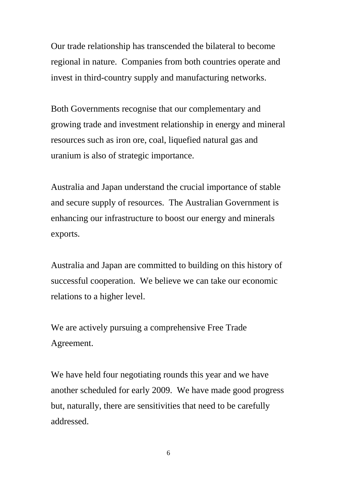Our trade relationship has transcended the bilateral to become regional in nature. Companies from both countries operate and invest in third-country supply and manufacturing networks.

Both Governments recognise that our complementary and growing trade and investment relationship in energy and mineral resources such as iron ore, coal, liquefied natural gas and uranium is also of strategic importance.

Australia and Japan understand the crucial importance of stable and secure supply of resources. The Australian Government is enhancing our infrastructure to boost our energy and minerals exports.

Australia and Japan are committed to building on this history of successful cooperation. We believe we can take our economic relations to a higher level.

We are actively pursuing a comprehensive Free Trade Agreement.

We have held four negotiating rounds this year and we have another scheduled for early 2009. We have made good progress but, naturally, there are sensitivities that need to be carefully addressed.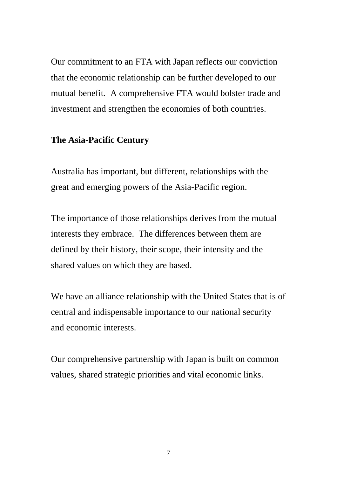Our commitment to an FTA with Japan reflects our conviction that the economic relationship can be further developed to our mutual benefit. A comprehensive FTA would bolster trade and investment and strengthen the economies of both countries.

#### **The Asia-Pacific Century**

Australia has important, but different, relationships with the great and emerging powers of the Asia-Pacific region.

The importance of those relationships derives from the mutual interests they embrace. The differences between them are defined by their history, their scope, their intensity and the shared values on which they are based.

We have an alliance relationship with the United States that is of central and indispensable importance to our national security and economic interests.

Our comprehensive partnership with Japan is built on common values, shared strategic priorities and vital economic links.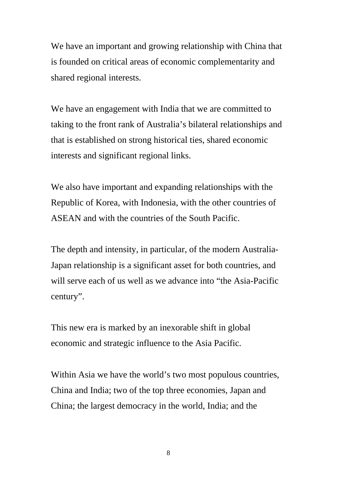We have an important and growing relationship with China that is founded on critical areas of economic complementarity and shared regional interests.

We have an engagement with India that we are committed to taking to the front rank of Australia's bilateral relationships and that is established on strong historical ties, shared economic interests and significant regional links.

We also have important and expanding relationships with the Republic of Korea, with Indonesia, with the other countries of ASEAN and with the countries of the South Pacific.

The depth and intensity, in particular, of the modern Australia-Japan relationship is a significant asset for both countries, and will serve each of us well as we advance into "the Asia-Pacific century".

This new era is marked by an inexorable shift in global economic and strategic influence to the Asia Pacific.

Within Asia we have the world's two most populous countries, China and India; two of the top three economies, Japan and China; the largest democracy in the world, India; and the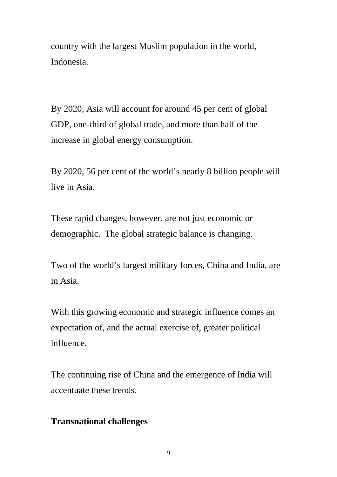country with the largest Muslim population in the world, Indonesia.

By 2020, Asia will account for around 45 per cent of global GDP, one-third of global trade, and more than half of the increase in global energy consumption.

By 2020, 56 per cent of the world's nearly 8 billion people will live in Asia.

These rapid changes, however, are not just economic or demographic. The global strategic balance is changing.

Two of the world's largest military forces, China and India, are in Asia.

With this growing economic and strategic influence comes an expectation of, and the actual exercise of, greater political influence.

The continuing rise of China and the emergence of India will accentuate these trends.

## **Transnational challenges**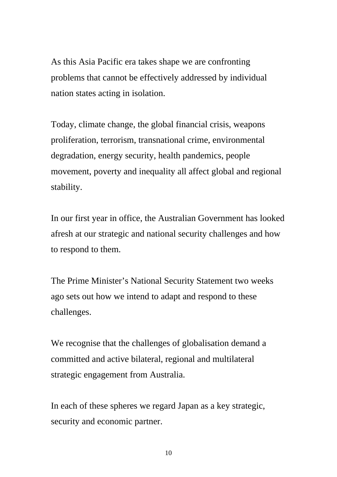As this Asia Pacific era takes shape we are confronting problems that cannot be effectively addressed by individual nation states acting in isolation.

Today, climate change, the global financial crisis, weapons proliferation, terrorism, transnational crime, environmental degradation, energy security, health pandemics, people movement, poverty and inequality all affect global and regional stability.

In our first year in office, the Australian Government has looked afresh at our strategic and national security challenges and how to respond to them.

The Prime Minister's National Security Statement two weeks ago sets out how we intend to adapt and respond to these challenges.

We recognise that the challenges of globalisation demand a committed and active bilateral, regional and multilateral strategic engagement from Australia.

In each of these spheres we regard Japan as a key strategic, security and economic partner.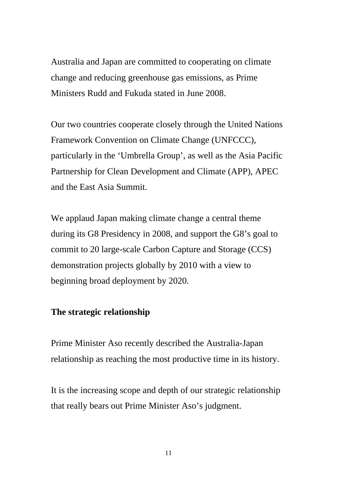Australia and Japan are committed to cooperating on climate change and reducing greenhouse gas emissions, as Prime Ministers Rudd and Fukuda stated in June 2008.

Our two countries cooperate closely through the United Nations Framework Convention on Climate Change (UNFCCC), particularly in the 'Umbrella Group', as well as the Asia Pacific Partnership for Clean Development and Climate (APP), APEC and the East Asia Summit.

We applaud Japan making climate change a central theme during its G8 Presidency in 2008, and support the G8's goal to commit to 20 large-scale Carbon Capture and Storage (CCS) demonstration projects globally by 2010 with a view to beginning broad deployment by 2020.

#### **The strategic relationship**

Prime Minister Aso recently described the Australia-Japan relationship as reaching the most productive time in its history.

It is the increasing scope and depth of our strategic relationship that really bears out Prime Minister Aso's judgment.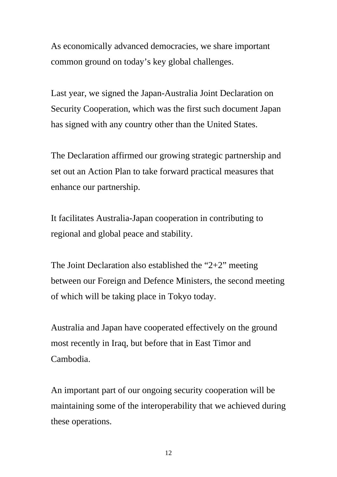As economically advanced democracies, we share important common ground on today's key global challenges.

Last year, we signed the Japan-Australia Joint Declaration on Security Cooperation, which was the first such document Japan has signed with any country other than the United States.

The Declaration affirmed our growing strategic partnership and set out an Action Plan to take forward practical measures that enhance our partnership.

It facilitates Australia-Japan cooperation in contributing to regional and global peace and stability.

The Joint Declaration also established the "2+2" meeting between our Foreign and Defence Ministers, the second meeting of which will be taking place in Tokyo today.

Australia and Japan have cooperated effectively on the ground most recently in Iraq, but before that in East Timor and Cambodia.

An important part of our ongoing security cooperation will be maintaining some of the interoperability that we achieved during these operations.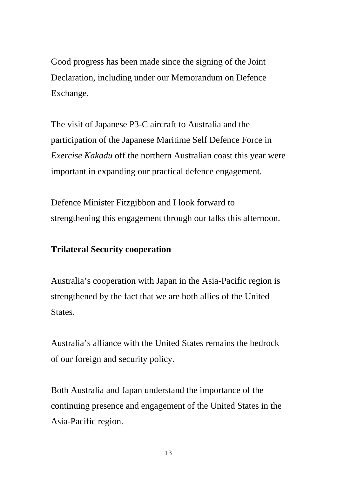Good progress has been made since the signing of the Joint Declaration, including under our Memorandum on Defence Exchange.

The visit of Japanese P3-C aircraft to Australia and the participation of the Japanese Maritime Self Defence Force in *Exercise Kakadu* off the northern Australian coast this year were important in expanding our practical defence engagement.

Defence Minister Fitzgibbon and I look forward to strengthening this engagement through our talks this afternoon.

# **Trilateral Security cooperation**

Australia's cooperation with Japan in the Asia-Pacific region is strengthened by the fact that we are both allies of the United States.

Australia's alliance with the United States remains the bedrock of our foreign and security policy.

Both Australia and Japan understand the importance of the continuing presence and engagement of the United States in the Asia-Pacific region.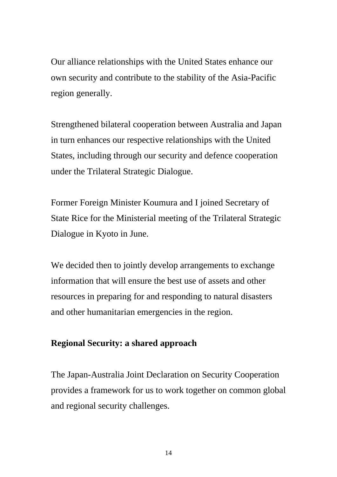Our alliance relationships with the United States enhance our own security and contribute to the stability of the Asia-Pacific region generally.

Strengthened bilateral cooperation between Australia and Japan in turn enhances our respective relationships with the United States, including through our security and defence cooperation under the Trilateral Strategic Dialogue.

Former Foreign Minister Koumura and I joined Secretary of State Rice for the Ministerial meeting of the Trilateral Strategic Dialogue in Kyoto in June.

We decided then to jointly develop arrangements to exchange information that will ensure the best use of assets and other resources in preparing for and responding to natural disasters and other humanitarian emergencies in the region.

#### **Regional Security: a shared approach**

The Japan-Australia Joint Declaration on Security Cooperation provides a framework for us to work together on common global and regional security challenges.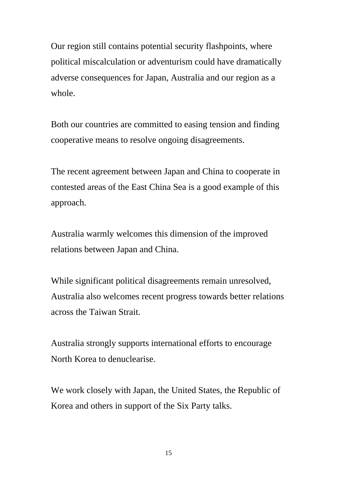Our region still contains potential security flashpoints, where political miscalculation or adventurism could have dramatically adverse consequences for Japan, Australia and our region as a whole.

Both our countries are committed to easing tension and finding cooperative means to resolve ongoing disagreements.

The recent agreement between Japan and China to cooperate in contested areas of the East China Sea is a good example of this approach.

Australia warmly welcomes this dimension of the improved relations between Japan and China.

While significant political disagreements remain unresolved, Australia also welcomes recent progress towards better relations across the Taiwan Strait.

Australia strongly supports international efforts to encourage North Korea to denuclearise.

We work closely with Japan, the United States, the Republic of Korea and others in support of the Six Party talks.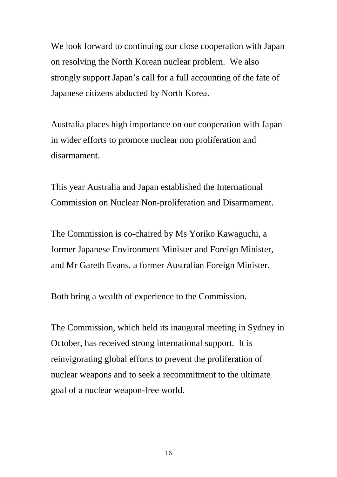We look forward to continuing our close cooperation with Japan on resolving the North Korean nuclear problem. We also strongly support Japan's call for a full accounting of the fate of Japanese citizens abducted by North Korea.

Australia places high importance on our cooperation with Japan in wider efforts to promote nuclear non proliferation and disarmament.

This year Australia and Japan established the International Commission on Nuclear Non-proliferation and Disarmament.

The Commission is co-chaired by Ms Yoriko Kawaguchi, a former Japanese Environment Minister and Foreign Minister, and Mr Gareth Evans, a former Australian Foreign Minister.

Both bring a wealth of experience to the Commission.

The Commission, which held its inaugural meeting in Sydney in October, has received strong international support. It is reinvigorating global efforts to prevent the proliferation of nuclear weapons and to seek a recommitment to the ultimate goal of a nuclear weapon-free world.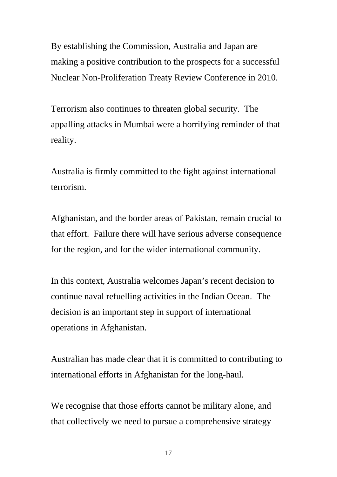By establishing the Commission, Australia and Japan are making a positive contribution to the prospects for a successful Nuclear Non-Proliferation Treaty Review Conference in 2010.

Terrorism also continues to threaten global security. The appalling attacks in Mumbai were a horrifying reminder of that reality.

Australia is firmly committed to the fight against international terrorism.

Afghanistan, and the border areas of Pakistan, remain crucial to that effort. Failure there will have serious adverse consequence for the region, and for the wider international community.

In this context, Australia welcomes Japan's recent decision to continue naval refuelling activities in the Indian Ocean. The decision is an important step in support of international operations in Afghanistan.

Australian has made clear that it is committed to contributing to international efforts in Afghanistan for the long-haul.

We recognise that those efforts cannot be military alone, and that collectively we need to pursue a comprehensive strategy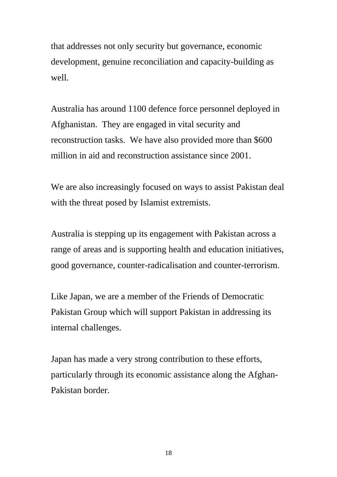that addresses not only security but governance, economic development, genuine reconciliation and capacity-building as well.

Australia has around 1100 defence force personnel deployed in Afghanistan. They are engaged in vital security and reconstruction tasks. We have also provided more than \$600 million in aid and reconstruction assistance since 2001.

We are also increasingly focused on ways to assist Pakistan deal with the threat posed by Islamist extremists.

Australia is stepping up its engagement with Pakistan across a range of areas and is supporting health and education initiatives, good governance, counter-radicalisation and counter-terrorism.

Like Japan, we are a member of the Friends of Democratic Pakistan Group which will support Pakistan in addressing its internal challenges.

Japan has made a very strong contribution to these efforts, particularly through its economic assistance along the Afghan-Pakistan border.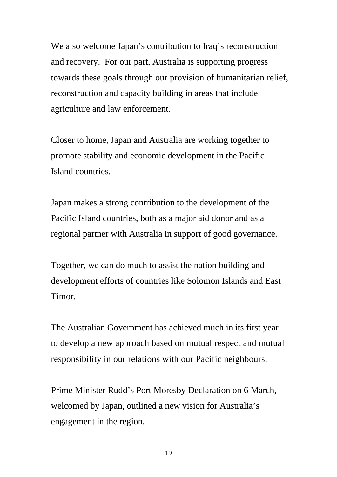We also welcome Japan's contribution to Iraq's reconstruction and recovery. For our part, Australia is supporting progress towards these goals through our provision of humanitarian relief, reconstruction and capacity building in areas that include agriculture and law enforcement.

Closer to home, Japan and Australia are working together to promote stability and economic development in the Pacific Island countries.

Japan makes a strong contribution to the development of the Pacific Island countries, both as a major aid donor and as a regional partner with Australia in support of good governance.

Together, we can do much to assist the nation building and development efforts of countries like Solomon Islands and East Timor.

The Australian Government has achieved much in its first year to develop a new approach based on mutual respect and mutual responsibility in our relations with our Pacific neighbours.

Prime Minister Rudd's Port Moresby Declaration on 6 March, welcomed by Japan, outlined a new vision for Australia's engagement in the region.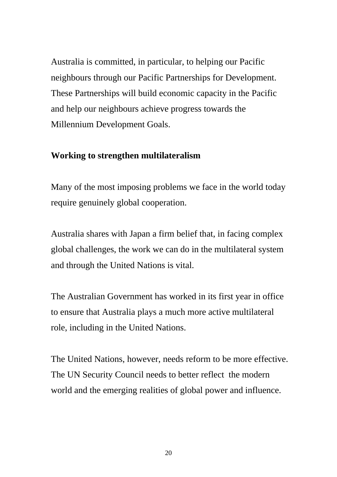Australia is committed, in particular, to helping our Pacific neighbours through our Pacific Partnerships for Development. These Partnerships will build economic capacity in the Pacific and help our neighbours achieve progress towards the Millennium Development Goals.

#### **Working to strengthen multilateralism**

Many of the most imposing problems we face in the world today require genuinely global cooperation.

Australia shares with Japan a firm belief that, in facing complex global challenges, the work we can do in the multilateral system and through the United Nations is vital.

The Australian Government has worked in its first year in office to ensure that Australia plays a much more active multilateral role, including in the United Nations.

The United Nations, however, needs reform to be more effective. The UN Security Council needs to better reflect the modern world and the emerging realities of global power and influence.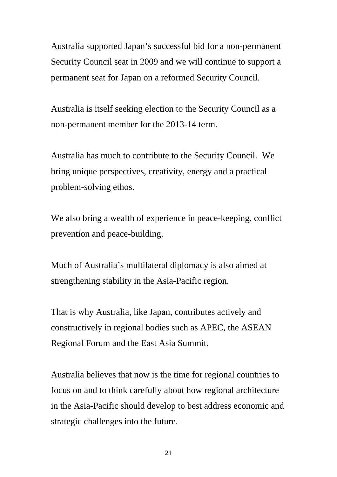Australia supported Japan's successful bid for a non-permanent Security Council seat in 2009 and we will continue to support a permanent seat for Japan on a reformed Security Council.

Australia is itself seeking election to the Security Council as a non-permanent member for the 2013-14 term.

Australia has much to contribute to the Security Council. We bring unique perspectives, creativity, energy and a practical problem-solving ethos.

We also bring a wealth of experience in peace-keeping, conflict prevention and peace-building.

Much of Australia's multilateral diplomacy is also aimed at strengthening stability in the Asia-Pacific region.

That is why Australia, like Japan, contributes actively and constructively in regional bodies such as APEC, the ASEAN Regional Forum and the East Asia Summit.

Australia believes that now is the time for regional countries to focus on and to think carefully about how regional architecture in the Asia-Pacific should develop to best address economic and strategic challenges into the future.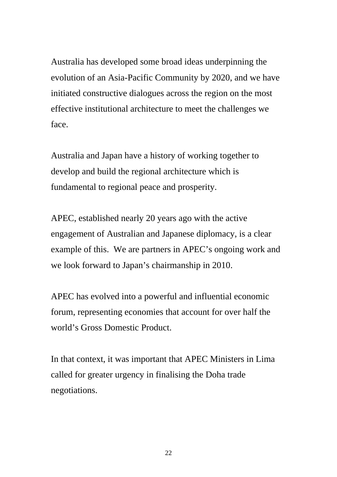Australia has developed some broad ideas underpinning the evolution of an Asia-Pacific Community by 2020, and we have initiated constructive dialogues across the region on the most effective institutional architecture to meet the challenges we face.

Australia and Japan have a history of working together to develop and build the regional architecture which is fundamental to regional peace and prosperity.

APEC, established nearly 20 years ago with the active engagement of Australian and Japanese diplomacy, is a clear example of this. We are partners in APEC's ongoing work and we look forward to Japan's chairmanship in 2010.

APEC has evolved into a powerful and influential economic forum, representing economies that account for over half the world's Gross Domestic Product.

In that context, it was important that APEC Ministers in Lima called for greater urgency in finalising the Doha trade negotiations.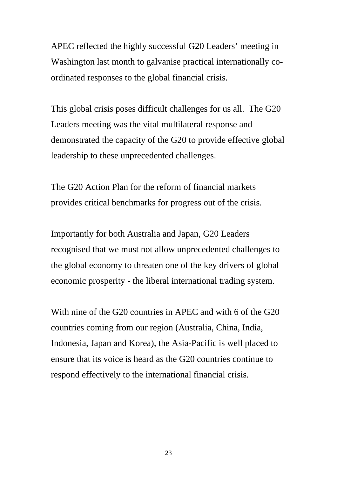APEC reflected the highly successful G20 Leaders' meeting in Washington last month to galvanise practical internationally coordinated responses to the global financial crisis.

This global crisis poses difficult challenges for us all. The G20 Leaders meeting was the vital multilateral response and demonstrated the capacity of the G20 to provide effective global leadership to these unprecedented challenges.

The G20 Action Plan for the reform of financial markets provides critical benchmarks for progress out of the crisis.

Importantly for both Australia and Japan, G20 Leaders recognised that we must not allow unprecedented challenges to the global economy to threaten one of the key drivers of global economic prosperity - the liberal international trading system.

With nine of the G20 countries in APEC and with 6 of the G20 countries coming from our region (Australia, China, India, Indonesia, Japan and Korea), the Asia-Pacific is well placed to ensure that its voice is heard as the G20 countries continue to respond effectively to the international financial crisis.